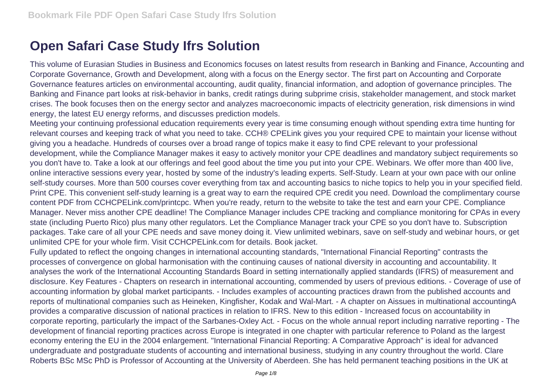## **Open Safari Case Study Ifrs Solution**

This volume of Eurasian Studies in Business and Economics focuses on latest results from research in Banking and Finance, Accounting and Corporate Governance, Growth and Development, along with a focus on the Energy sector. The first part on Accounting and Corporate Governance features articles on environmental accounting, audit quality, financial information, and adoption of governance principles. The Banking and Finance part looks at risk-behavior in banks, credit ratings during subprime crisis, stakeholder management, and stock market crises. The book focuses then on the energy sector and analyzes macroeconomic impacts of electricity generation, risk dimensions in wind energy, the latest EU energy reforms, and discusses prediction models.

Meeting your continuing professional education requirements every year is time consuming enough without spending extra time hunting for relevant courses and keeping track of what you need to take. CCH® CPELink gives you your required CPE to maintain your license without giving you a headache. Hundreds of courses over a broad range of topics make it easy to find CPE relevant to your professional development, while the Compliance Manager makes it easy to actively monitor your CPE deadlines and mandatory subject requirements so you don't have to. Take a look at our offerings and feel good about the time you put into your CPE. Webinars. We offer more than 400 live, online interactive sessions every year, hosted by some of the industry's leading experts. Self-Study. Learn at your own pace with our online self-study courses. More than 500 courses cover everything from tax and accounting basics to niche topics to help you in your specified field. Print CPE. This convenient self-study learning is a great way to earn the required CPE credit you need. Download the complimentary course content PDF from CCHCPELink.com/printcpc. When you're ready, return to the website to take the test and earn your CPE. Compliance Manager. Never miss another CPE deadline! The Compliance Manager includes CPE tracking and compliance monitoring for CPAs in every state (including Puerto Rico) plus many other regulators. Let the Compliance Manager track your CPE so you don't have to. Subscription packages. Take care of all your CPE needs and save money doing it. View unlimited webinars, save on self-study and webinar hours, or get unlimited CPE for your whole firm. Visit CCHCPELink.com for details. Book jacket.

Fully updated to reflect the ongoing changes in international accounting standards, "International Financial Reporting" contrasts the processes of convergence on global harmonisation with the continuing causes of national diversity in accounting and accountability. It analyses the work of the International Accounting Standards Board in setting internationally applied standards (IFRS) of measurement and disclosure. Key Features - Chapters on research in international accounting, commended by users of previous editions. - Coverage of use of accounting information by global market participants. - Includes examples of accounting practices drawn from the published accounts and reports of multinational companies such as Heineken, Kingfisher, Kodak and Wal-Mart. - A chapter on Aissues in multinational accountingA provides a comparative discussion of national practices in relation to IFRS. New to this edition - Increased focus on accountability in corporate reporting, particularly the impact of the Sarbanes-Oxley Act. - Focus on the whole annual report including narrative reporting - The development of financial reporting practices across Europe is integrated in one chapter with particular reference to Poland as the largest economy entering the EU in the 2004 enlargement. "International Financial Reporting: A Comparative Approach" is ideal for advanced undergraduate and postgraduate students of accounting and international business, studying in any country throughout the world. Clare Roberts BSc MSc PhD is Professor of Accounting at the University of Aberdeen. She has held permanent teaching positions in the UK at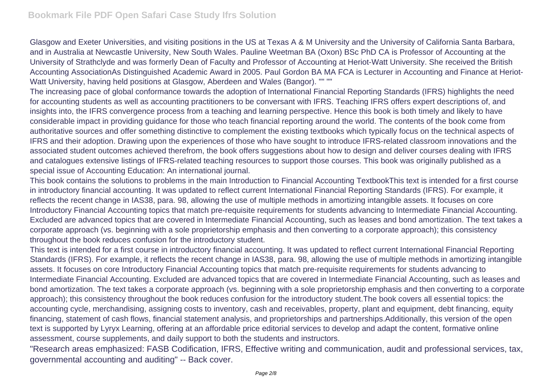Glasgow and Exeter Universities, and visiting positions in the US at Texas A & M University and the University of California Santa Barbara, and in Australia at Newcastle University, New South Wales. Pauline Weetman BA (Oxon) BSc PhD CA is Professor of Accounting at the University of Strathclyde and was formerly Dean of Faculty and Professor of Accounting at Heriot-Watt University. She received the British Accounting AssociationAs Distinguished Academic Award in 2005. Paul Gordon BA MA FCA is Lecturer in Accounting and Finance at Heriot-Watt University, having held positions at Glasgow, Aberdeen and Wales (Bangor). "" ""

The increasing pace of global conformance towards the adoption of International Financial Reporting Standards (IFRS) highlights the need for accounting students as well as accounting practitioners to be conversant with IFRS. Teaching IFRS offers expert descriptions of, and insights into, the IFRS convergence process from a teaching and learning perspective. Hence this book is both timely and likely to have considerable impact in providing guidance for those who teach financial reporting around the world. The contents of the book come from authoritative sources and offer something distinctive to complement the existing textbooks which typically focus on the technical aspects of IFRS and their adoption. Drawing upon the experiences of those who have sought to introduce IFRS-related classroom innovations and the associated student outcomes achieved therefrom, the book offers suggestions about how to design and deliver courses dealing with IFRS and catalogues extensive listings of IFRS-related teaching resources to support those courses. This book was originally published as a special issue of Accounting Education: An international journal.

This book contains the solutions to problems in the main Introduction to Financial Accounting TextbookThis text is intended for a first course in introductory financial accounting. It was updated to reflect current International Financial Reporting Standards (IFRS). For example, it reflects the recent change in IAS38, para. 98, allowing the use of multiple methods in amortizing intangible assets. It focuses on core Introductory Financial Accounting topics that match pre-requisite requirements for students advancing to Intermediate Financial Accounting. Excluded are advanced topics that are covered in Intermediate Financial Accounting, such as leases and bond amortization. The text takes a corporate approach (vs. beginning with a sole proprietorship emphasis and then converting to a corporate approach); this consistency throughout the book reduces confusion for the introductory student.

This text is intended for a first course in introductory financial accounting. It was updated to reflect current International Financial Reporting Standards (IFRS). For example, it reflects the recent change in IAS38, para. 98, allowing the use of multiple methods in amortizing intangible assets. It focuses on core Introductory Financial Accounting topics that match pre-requisite requirements for students advancing to Intermediate Financial Accounting. Excluded are advanced topics that are covered in Intermediate Financial Accounting, such as leases and bond amortization. The text takes a corporate approach (vs. beginning with a sole proprietorship emphasis and then converting to a corporate approach); this consistency throughout the book reduces confusion for the introductory student.The book covers all essential topics: the accounting cycle, merchandising, assigning costs to inventory, cash and receivables, property, plant and equipment, debt financing, equity financing, statement of cash flows, financial statement analysis, and proprietorships and partnerships.Additionally, this version of the open text is supported by Lyryx Learning, offering at an affordable price editorial services to develop and adapt the content, formative online assessment, course supplements, and daily support to both the students and instructors.

"Research areas emphasized: FASB Codification, IFRS, Effective writing and communication, audit and professional services, tax, governmental accounting and auditing" -- Back cover.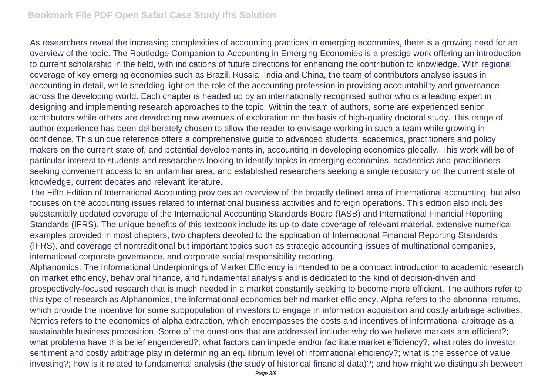As researchers reveal the increasing complexities of accounting practices in emerging economies, there is a growing need for an overview of the topic. The Routledge Companion to Accounting in Emerging Economies is a prestige work offering an introduction to current scholarship in the field, with indications of future directions for enhancing the contribution to knowledge. With regional coverage of key emerging economies such as Brazil, Russia, India and China, the team of contributors analyse issues in accounting in detail, while shedding light on the role of the accounting profession in providing accountability and governance across the developing world. Each chapter is headed up by an internationally recognised author who is a leading expert in designing and implementing research approaches to the topic. Within the team of authors, some are experienced senior contributors while others are developing new avenues of exploration on the basis of high-quality doctoral study. This range of author experience has been deliberately chosen to allow the reader to envisage working in such a team while growing in confidence. This unique reference offers a comprehensive guide to advanced students, academics, practitioners and policy makers on the current state of, and potential developments in, accounting in developing economies globally. This work will be of particular interest to students and researchers looking to identify topics in emerging economies, academics and practitioners seeking convenient access to an unfamiliar area, and established researchers seeking a single repository on the current state of knowledge, current debates and relevant literature.

The Fifth Edition of International Accounting provides an overview of the broadly defined area of international accounting, but also focuses on the accounting issues related to international business activities and foreign operations. This edition also includes substantially updated coverage of the International Accounting Standards Board (IASB) and International Financial Reporting Standards (IFRS). The unique benefits of this textbook include its up-to-date coverage of relevant material, extensive numerical examples provided in most chapters, two chapters devoted to the application of International Financial Reporting Standards (IFRS), and coverage of nontraditional but important topics such as strategic accounting issues of multinational companies, international corporate governance, and corporate social responsibility reporting.

Alphanomics: The Informational Underpinnings of Market Efficiency is intended to be a compact introduction to academic research on market efficiency, behavioral finance, and fundamental analysis and is dedicated to the kind of decision-driven and prospectively-focused research that is much needed in a market constantly seeking to become more efficient. The authors refer to this type of research as Alphanomics, the informational economics behind market efficiency. Alpha refers to the abnormal returns, which provide the incentive for some subpopulation of investors to engage in information acquisition and costly arbitrage activities. Nomics refers to the economics of alpha extraction, which encompasses the costs and incentives of informational arbitrage as a sustainable business proposition. Some of the questions that are addressed include: why do we believe markets are efficient?; what problems have this belief engendered?; what factors can impede and/or facilitate market efficiency?; what roles do investor sentiment and costly arbitrage play in determining an equilibrium level of informational efficiency?; what is the essence of value investing?; how is it related to fundamental analysis (the study of historical financial data)?; and how might we distinguish between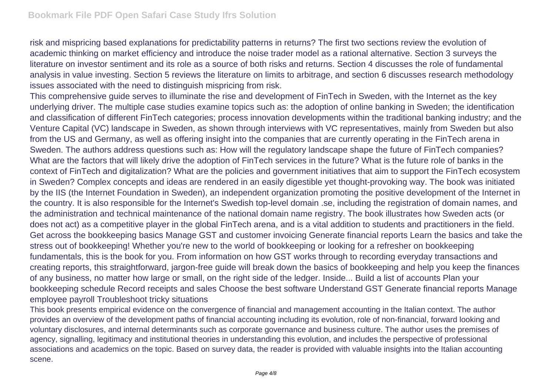risk and mispricing based explanations for predictability patterns in returns? The first two sections review the evolution of academic thinking on market efficiency and introduce the noise trader model as a rational alternative. Section 3 surveys the literature on investor sentiment and its role as a source of both risks and returns. Section 4 discusses the role of fundamental analysis in value investing. Section 5 reviews the literature on limits to arbitrage, and section 6 discusses research methodology issues associated with the need to distinguish mispricing from risk.

This comprehensive guide serves to illuminate the rise and development of FinTech in Sweden, with the Internet as the key underlying driver. The multiple case studies examine topics such as: the adoption of online banking in Sweden; the identification and classification of different FinTech categories; process innovation developments within the traditional banking industry; and the Venture Capital (VC) landscape in Sweden, as shown through interviews with VC representatives, mainly from Sweden but also from the US and Germany, as well as offering insight into the companies that are currently operating in the FinTech arena in Sweden. The authors address questions such as: How will the regulatory landscape shape the future of FinTech companies? What are the factors that will likely drive the adoption of FinTech services in the future? What is the future role of banks in the context of FinTech and digitalization? What are the policies and government initiatives that aim to support the FinTech ecosystem in Sweden? Complex concepts and ideas are rendered in an easily digestible yet thought-provoking way. The book was initiated by the IIS (the Internet Foundation in Sweden), an independent organization promoting the positive development of the Internet in the country. It is also responsible for the Internet's Swedish top-level domain .se, including the registration of domain names, and the administration and technical maintenance of the national domain name registry. The book illustrates how Sweden acts (or does not act) as a competitive player in the global FinTech arena, and is a vital addition to students and practitioners in the field. Get across the bookkeeping basics Manage GST and customer invoicing Generate financial reports Learn the basics and take the stress out of bookkeeping! Whether you're new to the world of bookkeeping or looking for a refresher on bookkeeping fundamentals, this is the book for you. From information on how GST works through to recording everyday transactions and creating reports, this straightforward, jargon-free guide will break down the basics of bookkeeping and help you keep the finances of any business, no matter how large or small, on the right side of the ledger. Inside... Build a list of accounts Plan your bookkeeping schedule Record receipts and sales Choose the best software Understand GST Generate financial reports Manage employee payroll Troubleshoot tricky situations

This book presents empirical evidence on the convergence of financial and management accounting in the Italian context. The author provides an overview of the development paths of financial accounting including its evolution, role of non-financial, forward looking and voluntary disclosures, and internal determinants such as corporate governance and business culture. The author uses the premises of agency, signalling, legitimacy and institutional theories in understanding this evolution, and includes the perspective of professional associations and academics on the topic. Based on survey data, the reader is provided with valuable insights into the Italian accounting scene.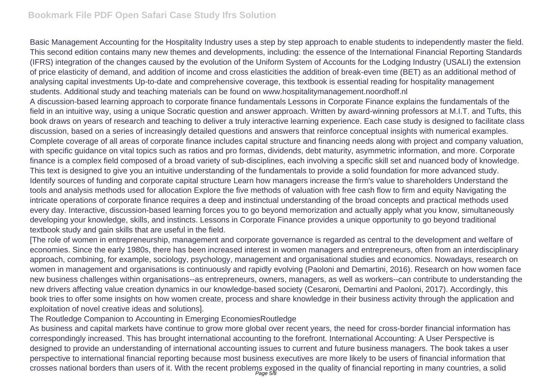## **Bookmark File PDF Open Safari Case Study Ifrs Solution**

Basic Management Accounting for the Hospitality Industry uses a step by step approach to enable students to independently master the field. This second edition contains many new themes and developments, including: the essence of the International Financial Reporting Standards (IFRS) integration of the changes caused by the evolution of the Uniform System of Accounts for the Lodging Industry (USALI) the extension of price elasticity of demand, and addition of income and cross elasticities the addition of break-even time (BET) as an additional method of analysing capital investments Up-to-date and comprehensive coverage, this textbook is essential reading for hospitality management students. Additional study and teaching materials can be found on www.hospitalitymanagement.noordhoff.nl

A discussion-based learning approach to corporate finance fundamentals Lessons in Corporate Finance explains the fundamentals of the field in an intuitive way, using a unique Socratic question and answer approach. Written by award-winning professors at M.I.T. and Tufts, this book draws on years of research and teaching to deliver a truly interactive learning experience. Each case study is designed to facilitate class discussion, based on a series of increasingly detailed questions and answers that reinforce conceptual insights with numerical examples. Complete coverage of all areas of corporate finance includes capital structure and financing needs along with project and company valuation, with specific guidance on vital topics such as ratios and pro formas, dividends, debt maturity, asymmetric information, and more. Corporate finance is a complex field composed of a broad variety of sub-disciplines, each involving a specific skill set and nuanced body of knowledge. This text is designed to give you an intuitive understanding of the fundamentals to provide a solid foundation for more advanced study. Identify sources of funding and corporate capital structure Learn how managers increase the firm's value to shareholders Understand the tools and analysis methods used for allocation Explore the five methods of valuation with free cash flow to firm and equity Navigating the intricate operations of corporate finance requires a deep and instinctual understanding of the broad concepts and practical methods used every day. Interactive, discussion-based learning forces you to go beyond memorization and actually apply what you know, simultaneously developing your knowledge, skills, and instincts. Lessons in Corporate Finance provides a unique opportunity to go beyond traditional textbook study and gain skills that are useful in the field.

[The role of women in entrepreneurship, management and corporate governance is regarded as central to the development and welfare of economies. Since the early 1980s, there has been increased interest in women managers and entrepreneurs, often from an interdisciplinary approach, combining, for example, sociology, psychology, management and organisational studies and economics. Nowadays, research on women in management and organisations is continuously and rapidly evolving (Paoloni and Demartini, 2016). Research on how women face new business challenges within organisations--as entrepreneurs, owners, managers, as well as workers--can contribute to understanding the new drivers affecting value creation dynamics in our knowledge-based society (Cesaroni, Demartini and Paoloni, 2017). Accordingly, this book tries to offer some insights on how women create, process and share knowledge in their business activity through the application and exploitation of novel creative ideas and solutions].

## The Routledge Companion to Accounting in Emerging EconomiesRoutledge

As business and capital markets have continue to grow more global over recent years, the need for cross-border financial information has correspondingly increased. This has brought international accounting to the forefront. International Accounting: A User Perspective is designed to provide an understanding of international accounting issues to current and future business managers. The book takes a user perspective to international financial reporting because most business executives are more likely to be users of financial information that crosses national borders than users of it. With the recent problems exposed in the quality of financial reporting in many countries, a solid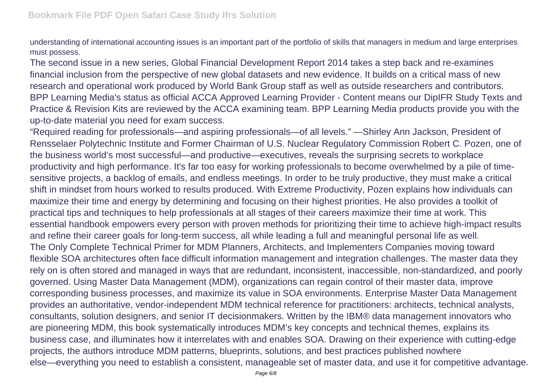understanding of international accounting issues is an important part of the portfolio of skills that managers in medium and large enterprises must possess.

The second issue in a new series, Global Financial Development Report 2014 takes a step back and re-examines financial inclusion from the perspective of new global datasets and new evidence. It builds on a critical mass of new research and operational work produced by World Bank Group staff as well as outside researchers and contributors. BPP Learning Media's status as official ACCA Approved Learning Provider - Content means our DipIFR Study Texts and Practice & Revision Kits are reviewed by the ACCA examining team. BPP Learning Media products provide you with the up-to-date material you need for exam success.

"Required reading for professionals—and aspiring professionals—of all levels." —Shirley Ann Jackson, President of Rensselaer Polytechnic Institute and Former Chairman of U.S. Nuclear Regulatory Commission Robert C. Pozen, one of the business world's most successful—and productive—executives, reveals the surprising secrets to workplace productivity and high performance. It's far too easy for working professionals to become overwhelmed by a pile of timesensitive projects, a backlog of emails, and endless meetings. In order to be truly productive, they must make a critical shift in mindset from hours worked to results produced. With Extreme Productivity, Pozen explains how individuals can maximize their time and energy by determining and focusing on their highest priorities. He also provides a toolkit of practical tips and techniques to help professionals at all stages of their careers maximize their time at work. This essential handbook empowers every person with proven methods for prioritizing their time to achieve high-impact results and refine their career goals for long-term success, all while leading a full and meaningful personal life as well. The Only Complete Technical Primer for MDM Planners, Architects, and Implementers Companies moving toward flexible SOA architectures often face difficult information management and integration challenges. The master data they rely on is often stored and managed in ways that are redundant, inconsistent, inaccessible, non-standardized, and poorly governed. Using Master Data Management (MDM), organizations can regain control of their master data, improve corresponding business processes, and maximize its value in SOA environments. Enterprise Master Data Management provides an authoritative, vendor-independent MDM technical reference for practitioners: architects, technical analysts, consultants, solution designers, and senior IT decisionmakers. Written by the IBM® data management innovators who are pioneering MDM, this book systematically introduces MDM's key concepts and technical themes, explains its business case, and illuminates how it interrelates with and enables SOA. Drawing on their experience with cutting-edge projects, the authors introduce MDM patterns, blueprints, solutions, and best practices published nowhere else—everything you need to establish a consistent, manageable set of master data, and use it for competitive advantage.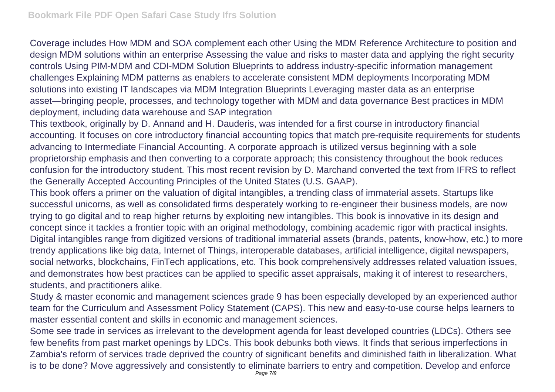Coverage includes How MDM and SOA complement each other Using the MDM Reference Architecture to position and design MDM solutions within an enterprise Assessing the value and risks to master data and applying the right security controls Using PIM-MDM and CDI-MDM Solution Blueprints to address industry-specific information management challenges Explaining MDM patterns as enablers to accelerate consistent MDM deployments Incorporating MDM solutions into existing IT landscapes via MDM Integration Blueprints Leveraging master data as an enterprise asset—bringing people, processes, and technology together with MDM and data governance Best practices in MDM deployment, including data warehouse and SAP integration

This textbook, originally by D. Annand and H. Dauderis, was intended for a first course in introductory financial accounting. It focuses on core introductory financial accounting topics that match pre-requisite requirements for students advancing to Intermediate Financial Accounting. A corporate approach is utilized versus beginning with a sole proprietorship emphasis and then converting to a corporate approach; this consistency throughout the book reduces confusion for the introductory student. This most recent revision by D. Marchand converted the text from IFRS to reflect the Generally Accepted Accounting Principles of the United States (U.S. GAAP).

This book offers a primer on the valuation of digital intangibles, a trending class of immaterial assets. Startups like successful unicorns, as well as consolidated firms desperately working to re-engineer their business models, are now trying to go digital and to reap higher returns by exploiting new intangibles. This book is innovative in its design and concept since it tackles a frontier topic with an original methodology, combining academic rigor with practical insights. Digital intangibles range from digitized versions of traditional immaterial assets (brands, patents, know-how, etc.) to more trendy applications like big data, Internet of Things, interoperable databases, artificial intelligence, digital newspapers, social networks, blockchains, FinTech applications, etc. This book comprehensively addresses related valuation issues, and demonstrates how best practices can be applied to specific asset appraisals, making it of interest to researchers, students, and practitioners alike.

Study & master economic and management sciences grade 9 has been especially developed by an experienced author team for the Curriculum and Assessment Policy Statement (CAPS). This new and easy-to-use course helps learners to master essential content and skills in economic and management sciences.

Some see trade in services as irrelevant to the development agenda for least developed countries (LDCs). Others see few benefits from past market openings by LDCs. This book debunks both views. It finds that serious imperfections in Zambia's reform of services trade deprived the country of significant benefits and diminished faith in liberalization. What is to be done? Move aggressively and consistently to eliminate barriers to entry and competition. Develop and enforce